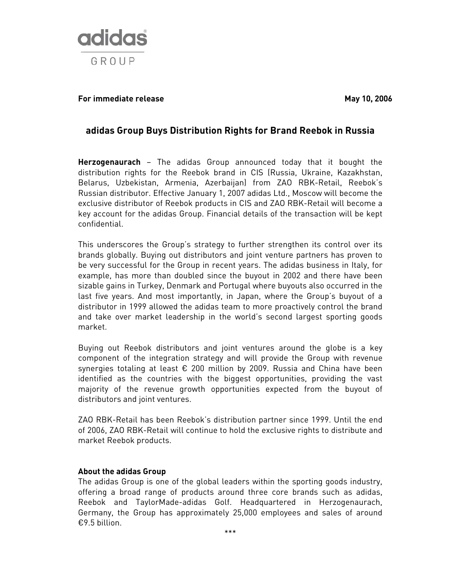

## **For immediate release May 10, 2006**

# **adidas Group Buys Distribution Rights for Brand Reebok in Russia**

**Herzogenaurach** – The adidas Group announced today that it bought the distribution rights for the Reebok brand in CIS (Russia, Ukraine, Kazakhstan, Belarus, Uzbekistan, Armenia, Azerbaijan) from ZAO RBK-Retail, Reebok's Russian distributor. Effective January 1, 2007 adidas Ltd., Moscow will become the exclusive distributor of Reebok products in CIS and ZAO RBK-Retail will become a key account for the adidas Group. Financial details of the transaction will be kept confidential.

This underscores the Group's strategy to further strengthen its control over its brands globally. Buying out distributors and joint venture partners has proven to be very successful for the Group in recent years. The adidas business in Italy, for example, has more than doubled since the buyout in 2002 and there have been sizable gains in Turkey, Denmark and Portugal where buyouts also occurred in the last five years. And most importantly, in Japan, where the Group's buyout of a distributor in 1999 allowed the adidas team to more proactively control the brand and take over market leadership in the world's second largest sporting goods market.

Buying out Reebok distributors and joint ventures around the globe is a key component of the integration strategy and will provide the Group with revenue synergies totaling at least € 200 million by 2009. Russia and China have been identified as the countries with the biggest opportunities, providing the vast majority of the revenue growth opportunities expected from the buyout of distributors and joint ventures.

ZAO RBK-Retail has been Reebok's distribution partner since 1999. Until the end of 2006, ZAO RBK-Retail will continue to hold the exclusive rights to distribute and market Reebok products.

#### **About the adidas Group**

The adidas Group is one of the global leaders within the sporting goods industry, offering a broad range of products around three core brands such as adidas, Reebok and TaylorMade-adidas Golf. Headquartered in Herzogenaurach, Germany, the Group has approximately 25,000 employees and sales of around €9.5 billion.